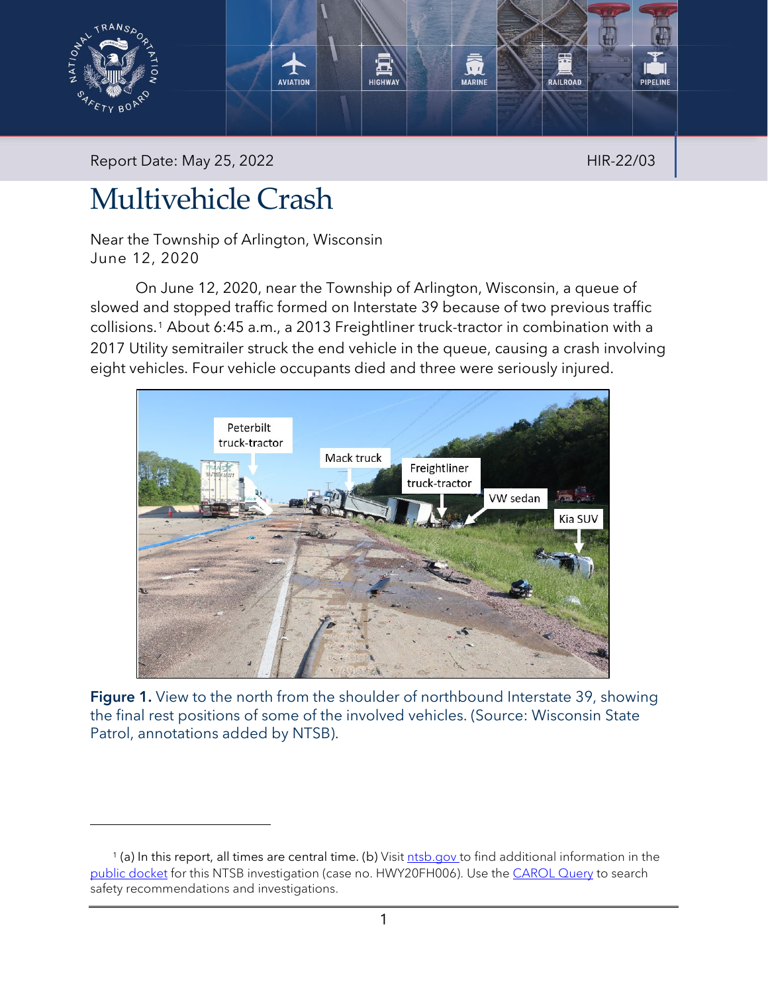

Report Date: May 25, 2022 **HIR-22/03** 

# Multivehicle Crash

Near the Township of Arlington, Wisconsin June 12, 2020

On June 12, 2020, near the Township of Arlington, Wisconsin, a queue of slowed and stopped traffic formed on Interstate 39 because of two previous traffic collisions.[1](#page-0-0) About 6:45 a.m., a 2013 Freightliner truck-tractor in combination with a 2017 Utility semitrailer struck the end vehicle in the queue, causing a crash involving eight vehicles. Four vehicle occupants died and three were seriously injured.



Figure 1. View to the north from the shoulder of northbound Interstate 39, showing the final rest positions of some of the involved vehicles. (Source: Wisconsin State Patrol, annotations added by NTSB).

<span id="page-0-0"></span><sup>&</sup>lt;sup>1</sup> (a) In this report, all times are central time. (b) Visit [ntsb.gov](https://www.ntsb.gov/) to find additional information in the [public docket](https://data.ntsb.gov/Docket/Forms/searchdocket) for this NTSB investigation (case no. HWY20FH006). Use the [CAROL Query](https://data.ntsb.gov/carol-main-public/basic-search) to search safety recommendations and investigations.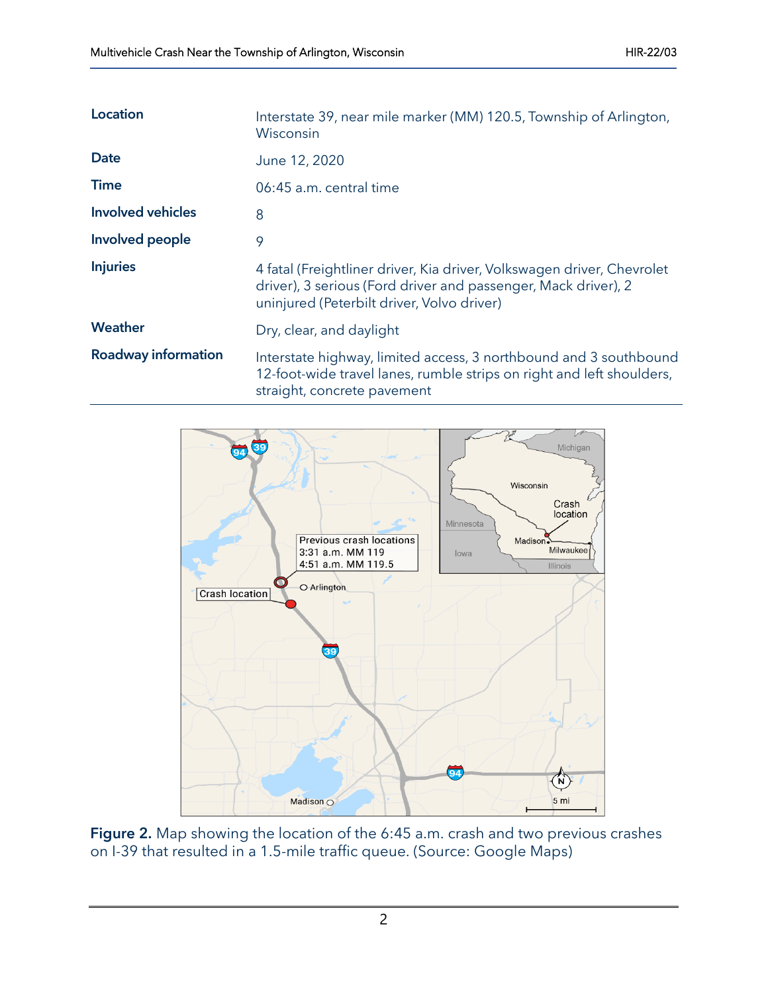| <b>Location</b>            | Interstate 39, near mile marker (MM) 120.5, Township of Arlington,<br>Wisconsin                                                                                                        |
|----------------------------|----------------------------------------------------------------------------------------------------------------------------------------------------------------------------------------|
| Date                       | June 12, 2020                                                                                                                                                                          |
| Time                       | 06:45 a.m. central time                                                                                                                                                                |
| <b>Involved vehicles</b>   | 8                                                                                                                                                                                      |
| Involved people            | 9                                                                                                                                                                                      |
| <b>Injuries</b>            | 4 fatal (Freightliner driver, Kia driver, Volkswagen driver, Chevrolet<br>driver), 3 serious (Ford driver and passenger, Mack driver), 2<br>uninjured (Peterbilt driver, Volvo driver) |
| Weather                    | Dry, clear, and daylight                                                                                                                                                               |
| <b>Roadway information</b> | Interstate highway, limited access, 3 northbound and 3 southbound<br>12-foot-wide travel lanes, rumble strips on right and left shoulders,<br>straight, concrete pavement              |



Figure 2. Map showing the location of the 6:45 a.m. crash and two previous crashes on I-39 that resulted in a 1.5-mile traffic queue. (Source: Google Maps)

2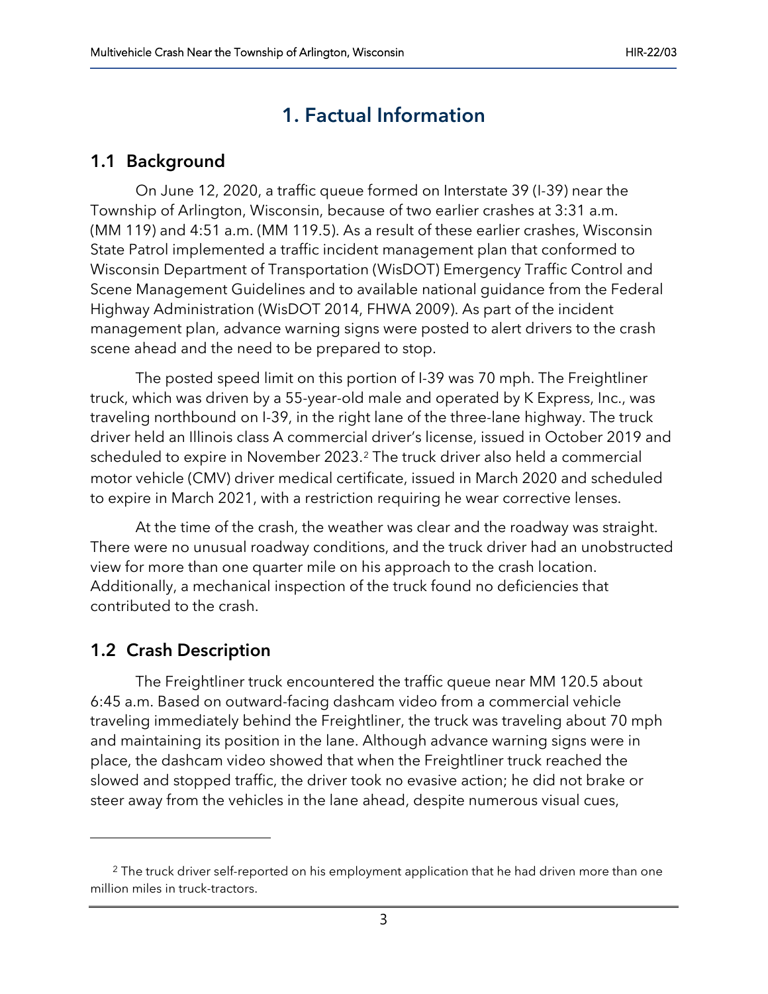# 1. Factual Information

### 1.1 Background

On June 12, 2020, a traffic queue formed on Interstate 39 (I-39) near the Township of Arlington, Wisconsin, because of two earlier crashes at 3:31 a.m. (MM 119) and 4:51 a.m. (MM 119.5). As a result of these earlier crashes, Wisconsin State Patrol implemented a traffic incident management plan that conformed to Wisconsin Department of Transportation (WisDOT) Emergency Traffic Control and Scene Management Guidelines and to available national guidance from the Federal Highway Administration (WisDOT 2014, FHWA 2009). As part of the incident management plan, advance warning signs were posted to alert drivers to the crash scene ahead and the need to be prepared to stop.

The posted speed limit on this portion of I-39 was 70 mph. The Freightliner truck, which was driven by a 55-year-old male and operated by K Express, Inc., was traveling northbound on I-39, in the right lane of the three-lane highway. The truck driver held an Illinois class A commercial driver's license, issued in October 2019 and scheduled to expire in November [2](#page-2-0)023.<sup>2</sup> The truck driver also held a commercial motor vehicle (CMV) driver medical certificate, issued in March 2020 and scheduled to expire in March 2021, with a restriction requiring he wear corrective lenses.

At the time of the crash, the weather was clear and the roadway was straight. There were no unusual roadway conditions, and the truck driver had an unobstructed view for more than one quarter mile on his approach to the crash location. Additionally, a mechanical inspection of the truck found no deficiencies that contributed to the crash.

## 1.2 Crash Description

The Freightliner truck encountered the traffic queue near MM 120.5 about 6:45 a.m. Based on outward-facing dashcam video from a commercial vehicle traveling immediately behind the Freightliner, the truck was traveling about 70 mph and maintaining its position in the lane. Although advance warning signs were in place, the dashcam video showed that when the Freightliner truck reached the slowed and stopped traffic, the driver took no evasive action; he did not brake or steer away from the vehicles in the lane ahead, despite numerous visual cues,

<span id="page-2-0"></span> $2$  The truck driver self-reported on his employment application that he had driven more than one million miles in truck-tractors.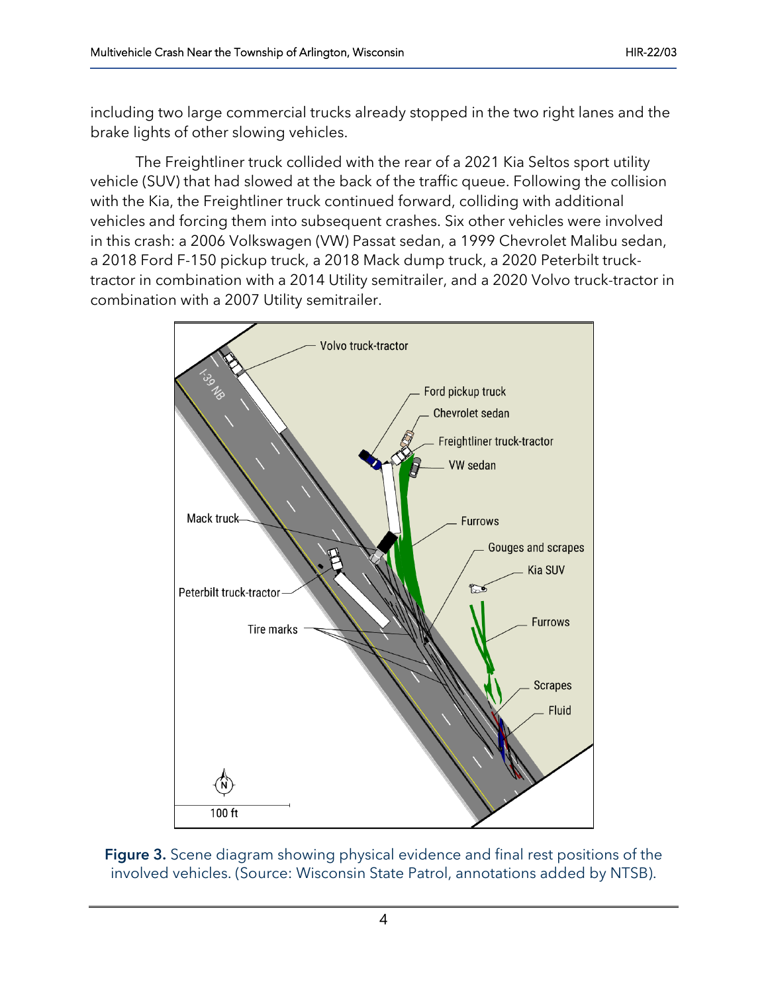including two large commercial trucks already stopped in the two right lanes and the brake lights of other slowing vehicles.

The Freightliner truck collided with the rear of a 2021 Kia Seltos sport utility vehicle (SUV) that had slowed at the back of the traffic queue. Following the collision with the Kia, the Freightliner truck continued forward, colliding with additional vehicles and forcing them into subsequent crashes. Six other vehicles were involved in this crash: a 2006 Volkswagen (VW) Passat sedan, a 1999 Chevrolet Malibu sedan, a 2018 Ford F-150 pickup truck, a 2018 Mack dump truck, a 2020 Peterbilt trucktractor in combination with a 2014 Utility semitrailer, and a 2020 Volvo truck-tractor in combination with a 2007 Utility semitrailer.



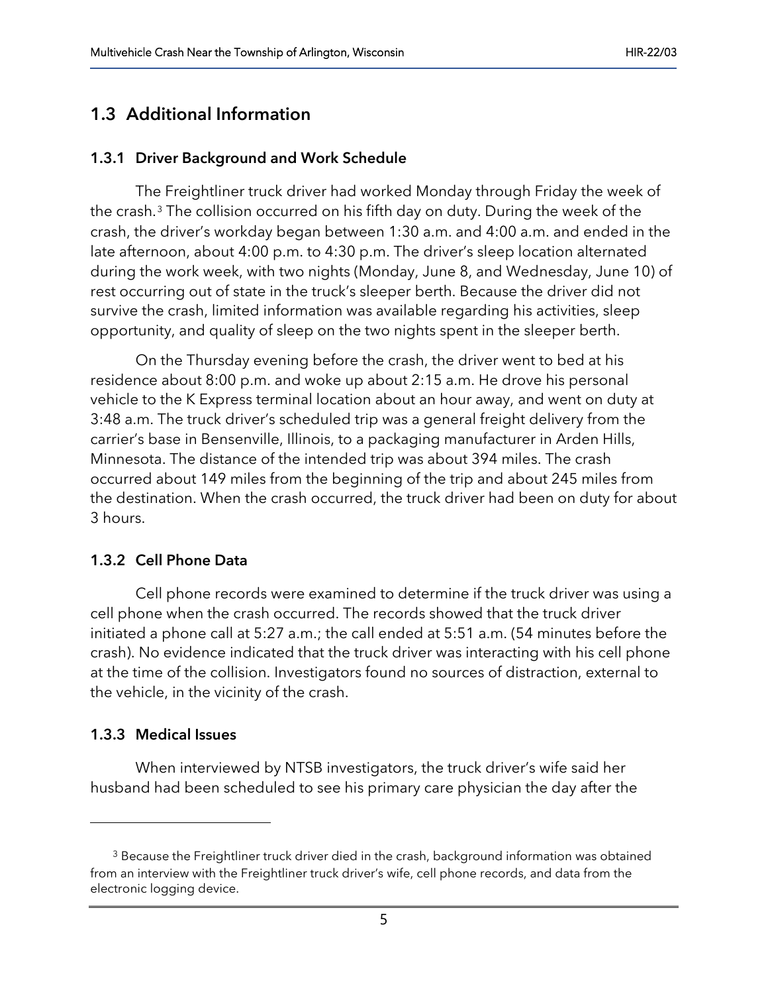### 1.3 Additional Information

#### 1.3.1 Driver Background and Work Schedule

The Freightliner truck driver had worked Monday through Friday the week of the crash.[3](#page-4-0) The collision occurred on his fifth day on duty. During the week of the crash, the driver's workday began between 1:30 a.m. and 4:00 a.m. and ended in the late afternoon, about 4:00 p.m. to 4:30 p.m. The driver's sleep location alternated during the work week, with two nights (Monday, June 8, and Wednesday, June 10) of rest occurring out of state in the truck's sleeper berth. Because the driver did not survive the crash, limited information was available regarding his activities, sleep opportunity, and quality of sleep on the two nights spent in the sleeper berth.

On the Thursday evening before the crash, the driver went to bed at his residence about 8:00 p.m. and woke up about 2:15 a.m. He drove his personal vehicle to the K Express terminal location about an hour away, and went on duty at 3:48 a.m. The truck driver's scheduled trip was a general freight delivery from the carrier's base in Bensenville, Illinois, to a packaging manufacturer in Arden Hills, Minnesota. The distance of the intended trip was about 394 miles. The crash occurred about 149 miles from the beginning of the trip and about 245 miles from the destination. When the crash occurred, the truck driver had been on duty for about 3 hours.

#### 1.3.2 Cell Phone Data

Cell phone records were examined to determine if the truck driver was using a cell phone when the crash occurred. The records showed that the truck driver initiated a phone call at 5:27 a.m.; the call ended at 5:51 a.m. (54 minutes before the crash). No evidence indicated that the truck driver was interacting with his cell phone at the time of the collision. Investigators found no sources of distraction, external to the vehicle, in the vicinity of the crash.

#### 1.3.3 Medical Issues

When interviewed by NTSB investigators, the truck driver's wife said her husband had been scheduled to see his primary care physician the day after the

<span id="page-4-0"></span><sup>&</sup>lt;sup>3</sup> Because the Freightliner truck driver died in the crash, background information was obtained from an interview with the Freightliner truck driver's wife, cell phone records, and data from the electronic logging device.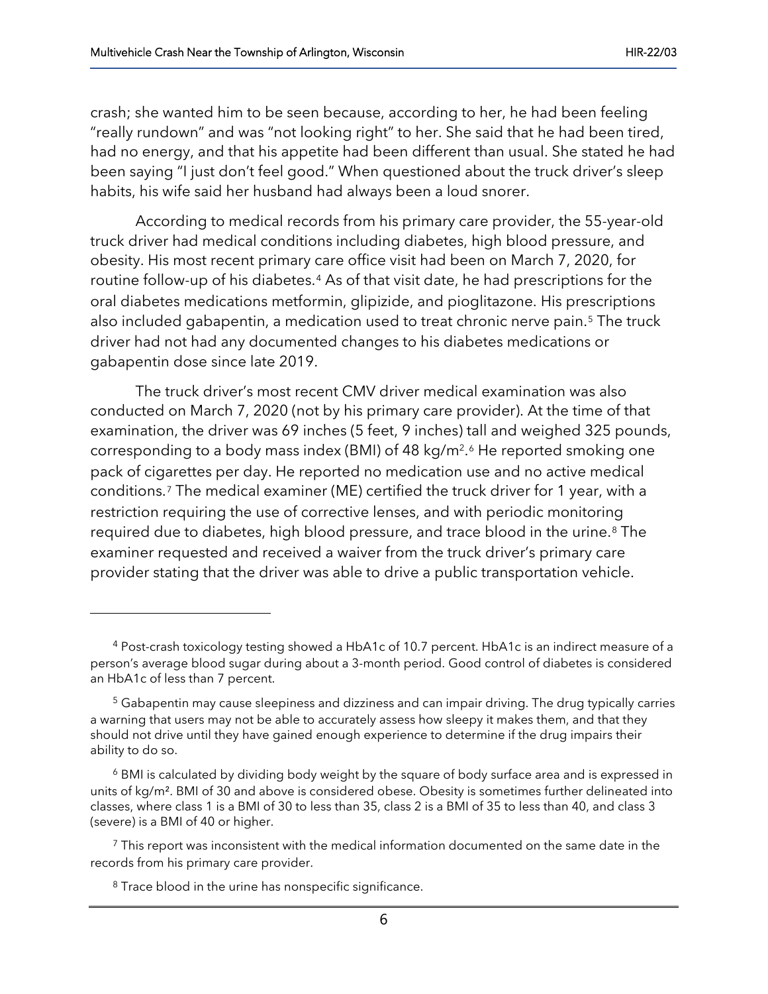crash; she wanted him to be seen because, according to her, he had been feeling "really rundown" and was "not looking right" to her. She said that he had been tired, had no energy, and that his appetite had been different than usual. She stated he had been saying "I just don't feel good." When questioned about the truck driver's sleep habits, his wife said her husband had always been a loud snorer.

According to medical records from his primary care provider, the 55-year-old truck driver had medical conditions including diabetes, high blood pressure, and obesity. His most recent primary care office visit had been on March 7, 2020, for routine follow-up of his diabetes.[4](#page-5-0) As of that visit date, he had prescriptions for the oral diabetes medications metformin, glipizide, and pioglitazone. His prescriptions also included gabapentin, a medication used to treat chronic nerve pain.<sup>[5](#page-5-1)</sup> The truck driver had not had any documented changes to his diabetes medications or gabapentin dose since late 2019.

The truck driver's most recent CMV driver medical examination was also conducted on March 7, 2020 (not by his primary care provider). At the time of that examination, the driver was 69 inches (5 feet, 9 inches) tall and weighed 325 pounds, corresponding to a body mass index (BMI) of 48 kg/m2.[6](#page-5-2) He reported smoking one pack of cigarettes per day. He reported no medication use and no active medical conditions.[7](#page-5-3) The medical examiner (ME) certified the truck driver for 1 year, with a restriction requiring the use of corrective lenses, and with periodic monitoring required due to diabetes, high blood pressure, and trace blood in the urine.[8](#page-5-4) The examiner requested and received a waiver from the truck driver's primary care provider stating that the driver was able to drive a public transportation vehicle.

<span id="page-5-0"></span><sup>4</sup> Post-crash toxicology testing showed a HbA1c of 10.7 percent. HbA1c is an indirect measure of a person's average blood sugar during about a 3-month period. Good control of diabetes is considered an HbA1c of less than 7 percent.

<span id="page-5-1"></span><sup>&</sup>lt;sup>5</sup> Gabapentin may cause sleepiness and dizziness and can impair driving. The drug typically carries a warning that users may not be able to accurately assess how sleepy it makes them, and that they should not drive until they have gained enough experience to determine if the drug impairs their ability to do so.

<span id="page-5-2"></span><sup>6</sup> BMI is calculated by dividing body weight by the square of body surface area and is expressed in units of kg/m². BMI of 30 and above is considered obese. Obesity is sometimes further delineated into classes, where class 1 is a BMI of 30 to less than 35, class 2 is a BMI of 35 to less than 40, and class 3 (severe) is a BMI of 40 or higher.

<span id="page-5-4"></span><span id="page-5-3"></span> $<sup>7</sup>$  This report was inconsistent with the medical information documented on the same date in the</sup> records from his primary care provider.

<sup>&</sup>lt;sup>8</sup> Trace blood in the urine has nonspecific significance.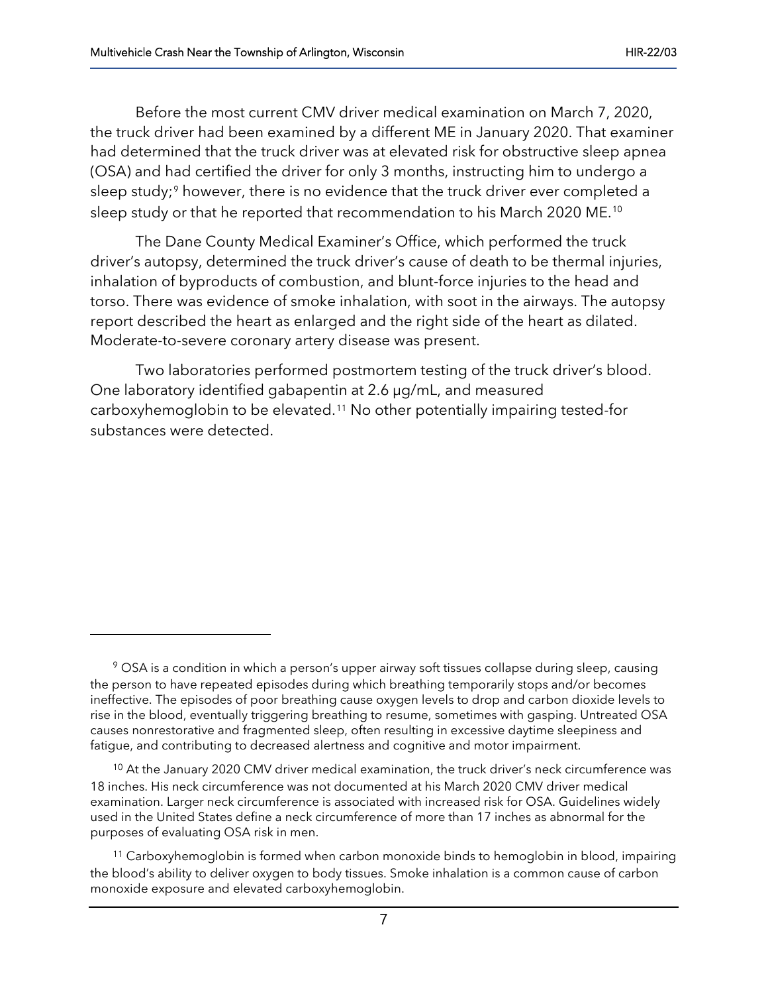Before the most current CMV driver medical examination on March 7, 2020, the truck driver had been examined by a different ME in January 2020. That examiner had determined that the truck driver was at elevated risk for obstructive sleep apnea (OSA) and had certified the driver for only 3 months, instructing him to undergo a sleep study;<sup>[9](#page-6-0)</sup> however, there is no evidence that the truck driver ever completed a sleep study or that he reported that recommendation to his March 2020 ME.[10](#page-6-1)

The Dane County Medical Examiner's Office, which performed the truck driver's autopsy, determined the truck driver's cause of death to be thermal injuries, inhalation of byproducts of combustion, and blunt-force injuries to the head and torso. There was evidence of smoke inhalation, with soot in the airways. The autopsy report described the heart as enlarged and the right side of the heart as dilated. Moderate-to-severe coronary artery disease was present.

Two laboratories performed postmortem testing of the truck driver's blood. One laboratory identified gabapentin at 2.6 µg/mL, and measured carboxyhemoglobin to be elevated.[11](#page-6-2) No other potentially impairing tested-for substances were detected.

<span id="page-6-1"></span><sup>10</sup> At the January 2020 CMV driver medical examination, the truck driver's neck circumference was 18 inches. His neck circumference was not documented at his March 2020 CMV driver medical examination. Larger neck circumference is associated with increased risk for OSA. Guidelines widely used in the United States define a neck circumference of more than 17 inches as abnormal for the purposes of evaluating OSA risk in men.

<span id="page-6-0"></span><sup>&</sup>lt;sup>9</sup> OSA is a condition in which a person's upper airway soft tissues collapse during sleep, causing the person to have repeated episodes during which breathing temporarily stops and/or becomes ineffective. The episodes of poor breathing cause oxygen levels to drop and carbon dioxide levels to rise in the blood, eventually triggering breathing to resume, sometimes with gasping. Untreated OSA causes nonrestorative and fragmented sleep, often resulting in excessive daytime sleepiness and fatigue, and contributing to decreased alertness and cognitive and motor impairment.

<span id="page-6-2"></span><sup>11</sup> Carboxyhemoglobin is formed when carbon monoxide binds to hemoglobin in blood, impairing the blood's ability to deliver oxygen to body tissues. Smoke inhalation is a common cause of carbon monoxide exposure and elevated carboxyhemoglobin.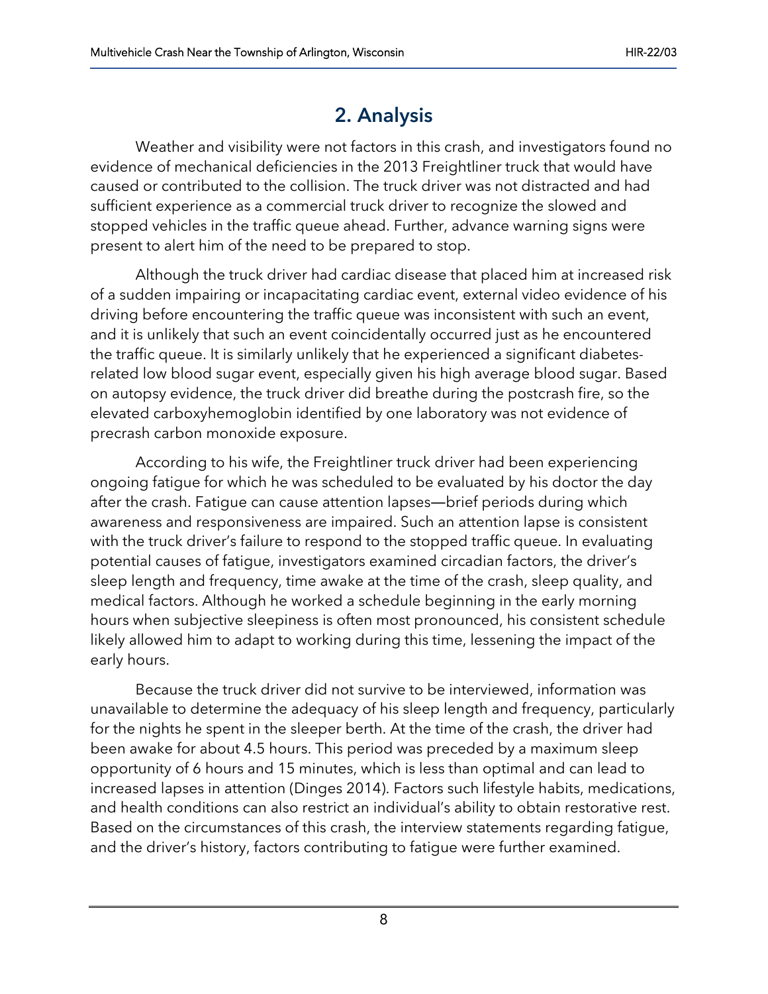# 2. Analysis

Weather and visibility were not factors in this crash, and investigators found no evidence of mechanical deficiencies in the 2013 Freightliner truck that would have caused or contributed to the collision. The truck driver was not distracted and had sufficient experience as a commercial truck driver to recognize the slowed and stopped vehicles in the traffic queue ahead. Further, advance warning signs were present to alert him of the need to be prepared to stop.

Although the truck driver had cardiac disease that placed him at increased risk of a sudden impairing or incapacitating cardiac event, external video evidence of his driving before encountering the traffic queue was inconsistent with such an event, and it is unlikely that such an event coincidentally occurred just as he encountered the traffic queue. It is similarly unlikely that he experienced a significant diabetesrelated low blood sugar event, especially given his high average blood sugar. Based on autopsy evidence, the truck driver did breathe during the postcrash fire, so the elevated carboxyhemoglobin identified by one laboratory was not evidence of precrash carbon monoxide exposure.

According to his wife, the Freightliner truck driver had been experiencing ongoing fatigue for which he was scheduled to be evaluated by his doctor the day after the crash. Fatigue can cause attention lapses―brief periods during which awareness and responsiveness are impaired. Such an attention lapse is consistent with the truck driver's failure to respond to the stopped traffic queue. In evaluating potential causes of fatigue, investigators examined circadian factors, the driver's sleep length and frequency, time awake at the time of the crash, sleep quality, and medical factors. Although he worked a schedule beginning in the early morning hours when subjective sleepiness is often most pronounced, his consistent schedule likely allowed him to adapt to working during this time, lessening the impact of the early hours.

Because the truck driver did not survive to be interviewed, information was unavailable to determine the adequacy of his sleep length and frequency, particularly for the nights he spent in the sleeper berth. At the time of the crash, the driver had been awake for about 4.5 hours. This period was preceded by a maximum sleep opportunity of 6 hours and 15 minutes, which is less than optimal and can lead to increased lapses in attention (Dinges 2014). Factors such lifestyle habits, medications, and health conditions can also restrict an individual's ability to obtain restorative rest. Based on the circumstances of this crash, the interview statements regarding fatigue, and the driver's history, factors contributing to fatigue were further examined.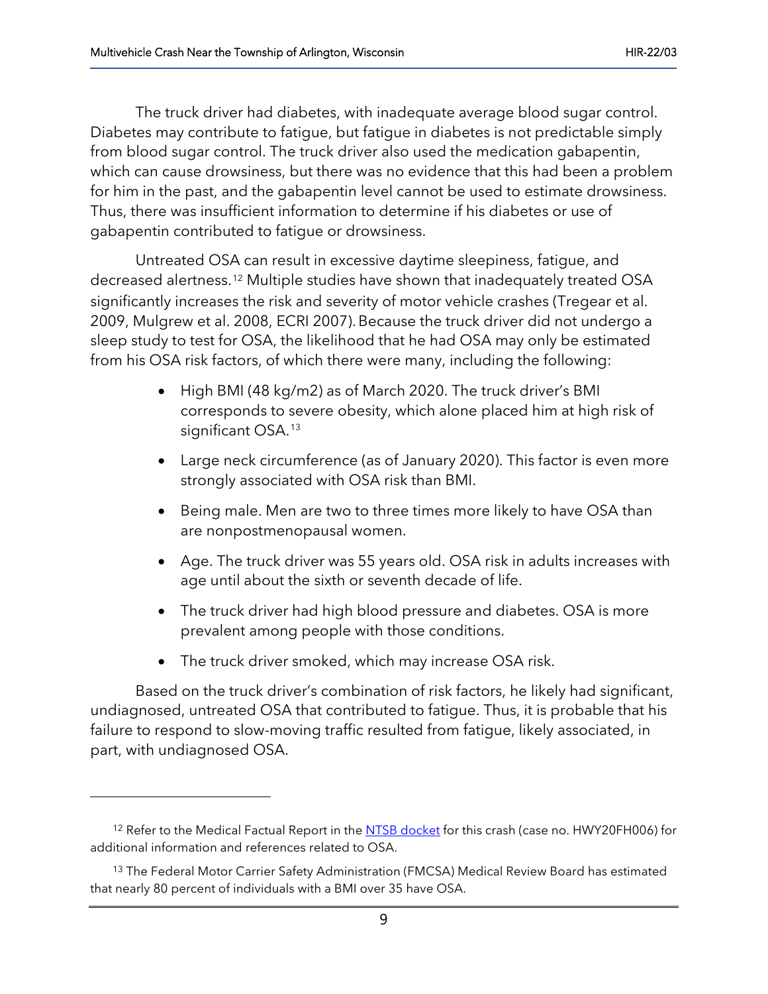The truck driver had diabetes, with inadequate average blood sugar control. Diabetes may contribute to fatigue, but fatigue in diabetes is not predictable simply from blood sugar control. The truck driver also used the medication gabapentin, which can cause drowsiness, but there was no evidence that this had been a problem for him in the past, and the gabapentin level cannot be used to estimate drowsiness. Thus, there was insufficient information to determine if his diabetes or use of gabapentin contributed to fatigue or drowsiness.

Untreated OSA can result in excessive daytime sleepiness, fatigue, and decreased alertness.[12](#page-8-0) Multiple studies have shown that inadequately treated OSA significantly increases the risk and severity of motor vehicle crashes (Tregear et al. 2009, Mulgrew et al. 2008, ECRI 2007).Because the truck driver did not undergo a sleep study to test for OSA, the likelihood that he had OSA may only be estimated from his OSA risk factors, of which there were many, including the following:

- High BMI (48 kg/m2) as of March 2020. The truck driver's BMI corresponds to severe obesity, which alone placed him at high risk of significant OSA.<sup>[13](#page-8-1)</sup>
- Large neck circumference (as of January 2020). This factor is even more strongly associated with OSA risk than BMI.
- Being male. Men are two to three times more likely to have OSA than are nonpostmenopausal women.
- Age. The truck driver was 55 years old. OSA risk in adults increases with age until about the sixth or seventh decade of life.
- The truck driver had high blood pressure and diabetes. OSA is more prevalent among people with those conditions.
- The truck driver smoked, which may increase OSA risk.

Based on the truck driver's combination of risk factors, he likely had significant, undiagnosed, untreated OSA that contributed to fatigue. Thus, it is probable that his failure to respond to slow-moving traffic resulted from fatigue, likely associated, in part, with undiagnosed OSA.

<span id="page-8-0"></span><sup>&</sup>lt;sup>12</sup> Refer to the Medical Factual Report in th[e NTSB docket](https://data.ntsb.gov/Docket/Forms/searchdocket) for this crash (case no. HWY20FH006) for additional information and references related to OSA.

<span id="page-8-1"></span><sup>&</sup>lt;sup>13</sup> The Federal Motor Carrier Safety Administration (FMCSA) Medical Review Board has estimated that nearly 80 percent of individuals with a BMI over 35 have OSA.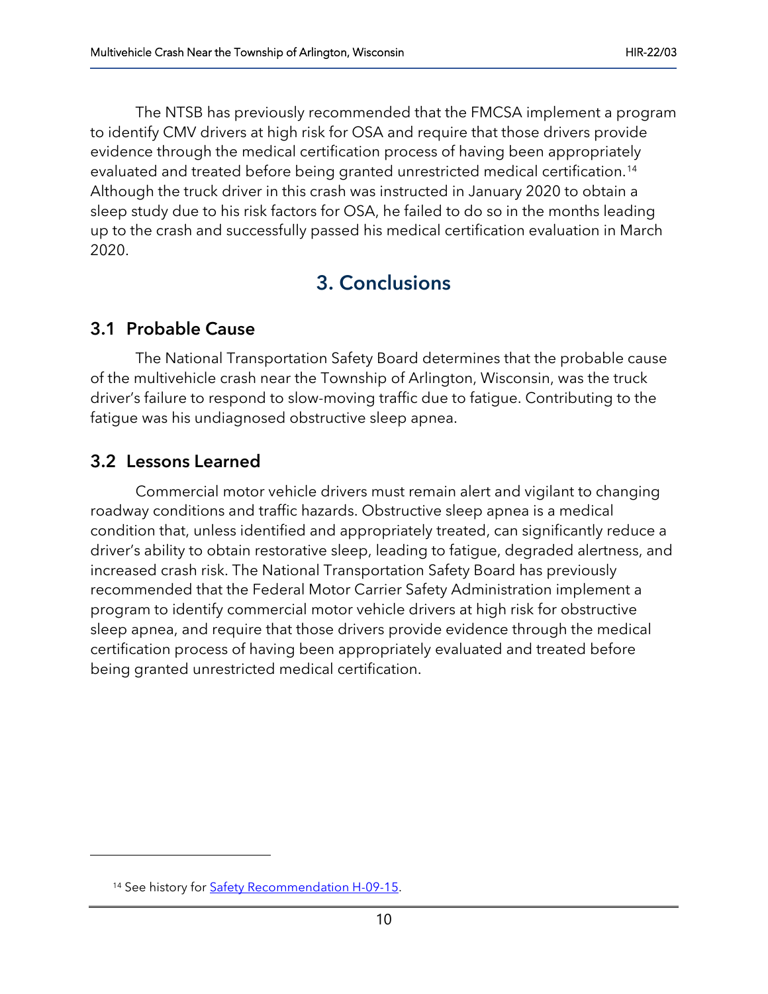The NTSB has previously recommended that the FMCSA implement a program to identify CMV drivers at high risk for OSA and require that those drivers provide evidence through the medical certification process of having been appropriately evaluated and treated before being granted unrestricted medical certification.[14](#page-9-0) Although the truck driver in this crash was instructed in January 2020 to obtain a sleep study due to his risk factors for OSA, he failed to do so in the months leading up to the crash and successfully passed his medical certification evaluation in March 2020.

# 3. Conclusions

## 3.1 Probable Cause

The National Transportation Safety Board determines that the probable cause of the multivehicle crash near the Township of Arlington, Wisconsin, was the truck driver's failure to respond to slow-moving traffic due to fatigue. Contributing to the fatigue was his undiagnosed obstructive sleep apnea.

## 3.2 Lessons Learned

Commercial motor vehicle drivers must remain alert and vigilant to changing roadway conditions and traffic hazards. Obstructive sleep apnea is a medical condition that, unless identified and appropriately treated, can significantly reduce a driver's ability to obtain restorative sleep, leading to fatigue, degraded alertness, and increased crash risk. The National Transportation Safety Board has previously recommended that the Federal Motor Carrier Safety Administration implement a program to identify commercial motor vehicle drivers at high risk for obstructive sleep apnea, and require that those drivers provide evidence through the medical certification process of having been appropriately evaluated and treated before being granted unrestricted medical certification.

<span id="page-9-0"></span><sup>&</sup>lt;sup>14</sup> See history for **Safety Recommendation H-09-15**.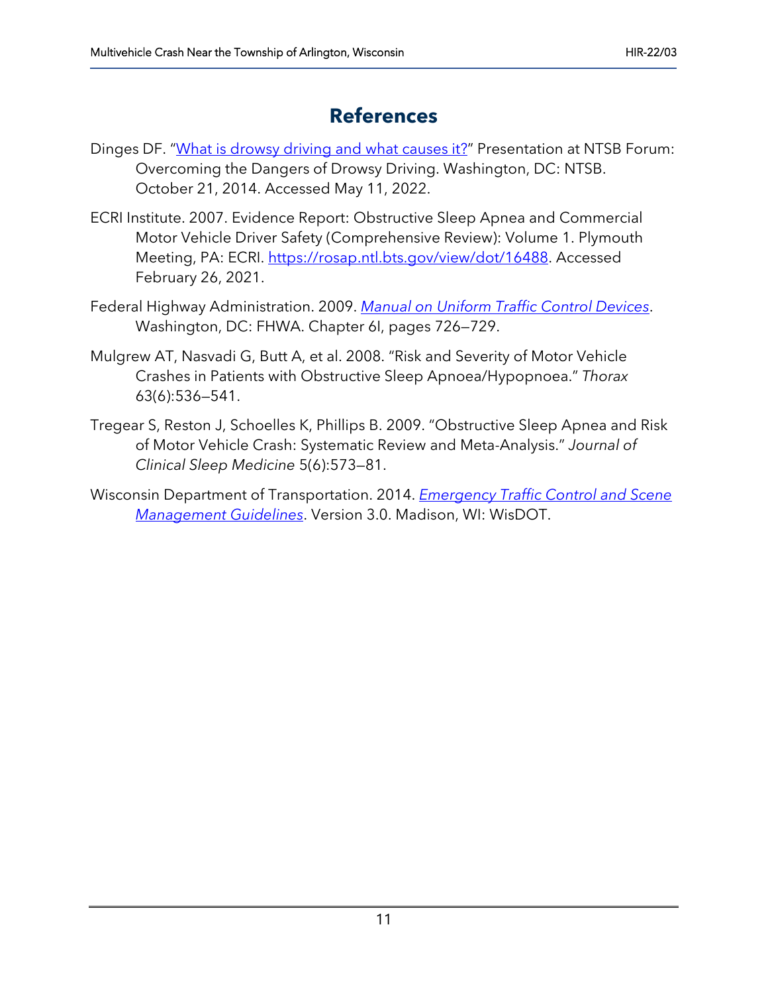# **References**

- Dinges DF. ["What is drowsy driving and what causes it?"](https://www.ntsb.gov/news/events/Documents/1a_Dinges.pdf) Presentation at NTSB Forum: Overcoming the Dangers of Drowsy Driving. Washington, DC: NTSB. October 21, 2014. Accessed May 11, 2022.
- ECRI Institute. 2007. Evidence Report: Obstructive Sleep Apnea and Commercial Motor Vehicle Driver Safety (Comprehensive Review): Volume 1. Plymouth Meeting, PA: ECRI. [https://rosap.ntl.bts.gov/view/dot/16488.](https://rosap.ntl.bts.gov/view/dot/16488) Accessed February 26, 2021.
- Federal Highway Administration. 2009. *[Manual on Uniform Traffic Control Devices](https://mutcd.fhwa.dot.gov/pdfs/2009/mutcd2009edition.pdf)*. Washington, DC: FHWA. Chapter 6I, pages 726—729.
- Mulgrew AT, Nasvadi G, Butt A, et al. 2008. "Risk and Severity of Motor Vehicle Crashes in Patients with Obstructive Sleep Apnoea/Hypopnoea." *Thorax* 63(6):536—541.
- Tregear S, Reston J, Schoelles K, Phillips B. 2009. "Obstructive Sleep Apnea and Risk of Motor Vehicle Crash: Systematic Review and Meta-Analysis." *Journal of Clinical Sleep Medicine* 5(6):573—81.
- Wisconsin Department of Transportation. 2014. *[Emergency Traffic Control and Scene](https://wisconsindot.gov/Documents/about-wisdot/who-we-are/dtsd/bto/etcsmguidelines2016.pdf)  [Management Guidelines](https://wisconsindot.gov/Documents/about-wisdot/who-we-are/dtsd/bto/etcsmguidelines2016.pdf)*. Version 3.0. Madison, WI: WisDOT.